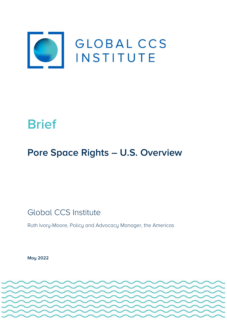

# **Brief**

# **Pore Space Rights – U.S. Overview**

Global CCS Institute

Ruth Ivory-Moore, Policy and Advocacy Manager, the Americas

**May 2022** 

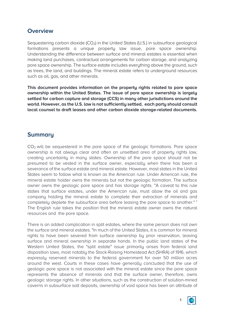### **Overview**

Sequestering carbon dioxide  $(CO_2)$  in the United States (U.S.) in subsurface geological formations presents a unique property law issue, pore space ownership. Understanding the difference between surface and mineral estates is essential when making land purchases, contractual arrangements for carbon storage, and analyzing pore space ownership. The surface estate includes everything above the ground, such as trees, the land, and buildings. The mineral estate refers to underground resources such as oil, gas, and other minerals.

**This document provides information on the property rights related to pore space ownership within the United States. The issue of pore space ownership is largely settled for carbon capture and storage (CCS) in many other jurisdictions around the world. However, as the U.S. law is not sufficiently settled, each party should consult local counsel to draft leases and other carbon dioxide storage-related documents.**

## **Summary**

CO2 will be sequestered in the pore space of the geologic formations. Pore space ownership is not always clear and often an unsettled area of property rights law. creating uncertainty in many states. Ownership of the pore space should not be presumed to be vested in the surface owner, especially when there has been a severance of the surface estate and mineral estate. However, most states in the United States seem to follow what is known as the American rule. Under American rule, the mineral estate holder owns the minerals but not the geologic formation. The surface owner owns the geologic pore space and has storage rights. "A caveat to this rule states that surface estates, under the American rule, must allow the oil and gas company holding the mineral estate to complete their extraction of minerals and completely deplete the subsurface area before leasing the pore space to another." 1 The English rule takes the position that the mineral estate owner owns the natural resources and the pore space.

There is an added complication in split estates, where the same person does not own the surface and mineral estates. "In much of the United States, it is common for mineral rights to have been severed from surface ownership by prior reservation, leaving surface and mineral ownership in separate hands. In the public land states of the Western United States, the "split estate" issue primarily arises from federal land disposition laws, most notably the Stock-Raising Homestead Act (SHRA) of 1916, which expressly reserved minerals to the federal government for over 50 million acres around the west. Courts in these cases have generally concluded that the use of geologic pore space is not associated with the mineral estate since the pore space represents the absence of minerals and that the surface owner, therefore, owns geologic storage rights. In other situations, such as the construction of solution-mined caverns in subsurface salt deposits, ownership of void space has been an attribute of



1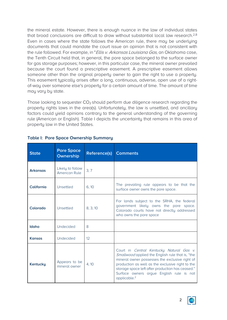the mineral estate. However, there is enough nuance in the law of individual states that broad conclusions are difficult to draw without substantial local law research.<sup>2,8</sup> Even in cases where the state follows the American rule, there may be underlying documents that could mandate the court issue an opinion that is not consistent with the rule followed. For example, in "*Ellis v. Arkansas Louisiana Gas*, an Oklahoma case, the Tenth Circuit held that, in general, the pore space belonged to the surface owner for gas storage purposes; however, in this particular case, the mineral owner prevailed because the court found a prescriptive easement. A prescriptive easement allows someone other than the original property owner to gain the right to use a property. This easement typically arises after a long, continuous, adverse, open use of a rightof-way over someone else's property for a certain amount of time. The amount of time may vary by state.

Those looking to sequester  $CO<sub>2</sub>$  should perform due diligence research regarding the property rights laws in the area(s). Unfortunately, the law is unsettled, and ancillary factors could yield opinions contrary to the general understanding of the governing rule (American or English). Table I depicts the uncertainty that remains in this area of property law in the United States.

| <b>State</b>    | <b>Pore Space</b><br><b>Ownership</b> | Reference(s) | <b>Comments</b>                                                                                                                                                                                                                                                                                                                       |
|-----------------|---------------------------------------|--------------|---------------------------------------------------------------------------------------------------------------------------------------------------------------------------------------------------------------------------------------------------------------------------------------------------------------------------------------|
| <b>Arkansas</b> | Likely to follow<br>American Rule     | 3, 7         |                                                                                                                                                                                                                                                                                                                                       |
| California      | Unsettled                             | 6, 10        | The prevailing rule appears to be that the<br>surface owner owns the pore space.                                                                                                                                                                                                                                                      |
| Colorado        | Unsettled                             | 8, 3, 10     | For lands subject to the SRHA, the federal<br>government likely owns the pore space.<br>Colorado courts have not directly addressed<br>who owns the pore space                                                                                                                                                                        |
| Idaho           | Undecided                             | 8            |                                                                                                                                                                                                                                                                                                                                       |
| <b>Kansas</b>   | Undecided                             | 12           |                                                                                                                                                                                                                                                                                                                                       |
| <b>Kentucky</b> | Appears to be<br>mineral owner        | 4, 10        | Court in <i>Central Kentucky Natural Gas v.</i><br>Smallwood applied the English rule that is, "the<br>mineral owner possesses the exclusive right of<br>production as well as the exclusive right to the<br>storage space left after production has ceased."<br>Surface owners argue English rule is not<br>applicable. <sup>2</sup> |

#### **Table I: Pore Space Ownership Summary**

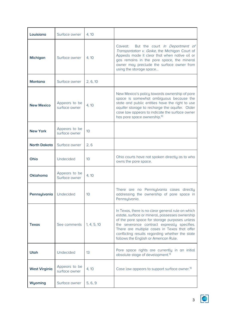| Louisiana            | Surface owner                  | 4, 10       |                                                                                                                                                                                                                                                                                                                                                  |
|----------------------|--------------------------------|-------------|--------------------------------------------------------------------------------------------------------------------------------------------------------------------------------------------------------------------------------------------------------------------------------------------------------------------------------------------------|
| <b>Michigan</b>      | Surface owner                  | 4, 10       | But the court In Department of<br>Caveat:<br>Transportation v. Goike, the Michigan Court of<br>Appeals made it clear that when native oil or<br>gas remains in the pore space, the mineral<br>owner may preclude the surface owner from<br>using the storage space                                                                               |
| Montana              | Surface owner                  | 2, 6, 10    |                                                                                                                                                                                                                                                                                                                                                  |
| <b>New Mexico</b>    | Appears to be<br>surface owner | 4, 10       | New Mexico's policy towards ownership of pore<br>space is somewhat ambiguous because the<br>state and public entities have the right to use<br>aquifer storage to recharge the aquifer. Older<br>case law appears to indicate the surface owner<br>has pore space ownership. <sup>10</sup>                                                       |
| <b>New York</b>      | Appears to be<br>surface owner | 10          |                                                                                                                                                                                                                                                                                                                                                  |
| <b>North Dakota</b>  | Surface owner                  | 2, 6        |                                                                                                                                                                                                                                                                                                                                                  |
| Ohio                 | Undecided                      | 10          | Ohio courts have not spoken directly as to who<br>owns the pore space.                                                                                                                                                                                                                                                                           |
| <b>Oklahoma</b>      | Appears to be<br>Surface owner | 4, 10       |                                                                                                                                                                                                                                                                                                                                                  |
| Pennsylvania         | Undecided                      | 10          | There are no Pennsylvania cases directly<br>addressing the ownership of pore space in<br>Pennsylvania.                                                                                                                                                                                                                                           |
| <b>Texas</b>         | See comments                   | 1, 4, 5, 10 | In Texas, there is no clear general rule on which<br>estate, surface or mineral, possesses ownership<br>of the pore space for storage purposes unless<br>the severance contract expressly specifies.<br>There are multiple cases in Texas that offer<br>conflicting results regarding whether the state<br>follows the English or American Rule. |
| <b>Utah</b>          | Undecided                      | 13          | Pore space rights are currently in an initial<br>absolute stage of development. <sup>13</sup>                                                                                                                                                                                                                                                    |
| <b>West Virginia</b> | Appears to be<br>surface owner | 4, 10       | Case law appears to support surface owner. <sup>10</sup>                                                                                                                                                                                                                                                                                         |
| Wyoming              | Surface owner                  | 5, 6, 9     |                                                                                                                                                                                                                                                                                                                                                  |